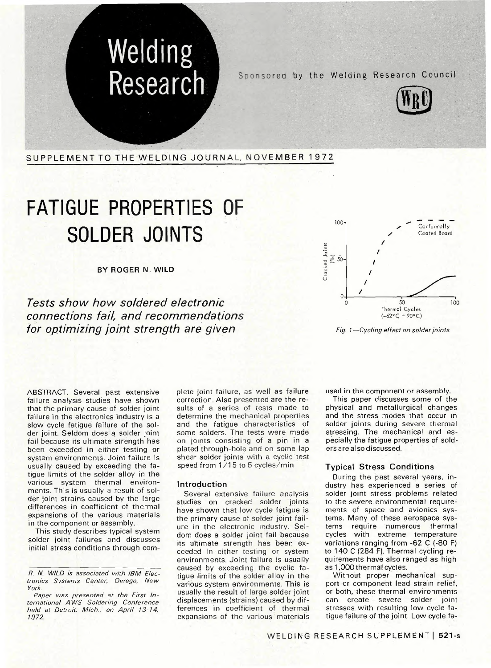# **Welding**  Research Sponsored by the Welding Research Council



SUPPLEMENT TO THE WELDING JOURNAL, NOVEMBER 1972

## **FATIGUE PROPERTIES OF SOLDER JOINTS**

BY ROGER N. WILD

Tests show how soldered electronic connections fail, and recommendations for optimizing joint strength are given



Fig. 1—Cycling effect on solder joints

ABSTRACT. Several past extensive failure analysis studies have shown that the primary cause of solder joint failure in the electronics industry is a slow cycle fatigue failure of the solder joint. Seldom does a solder joint fail because its ultimate strength has been exceeded in either testing or system environments. Joint failure is usually caused by exceeding the fatigue limits of the solder alloy in the various system thermal environments. This is usually a result of solder joint strains caused by the large differences in coefficient of thermal expansions of the various materials in the component or assembly.

This study describes typical system solder joint failures and discusses initial stress conditions through complete joint failure, as well as failure correction. Also presented are the results of a series of tests made to determine the mechanical properties and the fatigue characteristics of some solders. The tests were made on joints consisting of a pin in a plated through-hole and on some lap shear solder joints with a cyclic test speed from 1/15 to 5 cycles/min.

#### **Introduction**

Several extensive failure analysis studies on cracked solder joints have shown that low cycle fatigue is the primary cause of solder joint failure in the electronic industry. Seldom does a solder joint fail because its ultimate strength has been exceeded in either testing or system environments. Joint failure is usually caused by exceeding the cyclic fatigue limits of the solder alloy in the various system environments. This is usually the result of large solder joint displacements (strains) caused by differences in coefficient of thermal expansions of the various materials used in the component or assembly.

This paper discusses some of the physical and metallurgical changes and the stress modes that occur in solder joints during severe thermal stressing. The mechanical and especially the fatigue properties of solders are also discussed.

#### **Typical Stress Conditions**

During the past several years, industry has experienced a series of solder joint stress problems related to the severe environmental requirements of space and avionics systems. Many of these aerospace systems require numerous thermal cycles with extreme temperature variations ranging from -62 C (-80 F) to 140 C (284 F). Thermal cycling requirements have also ranged as high as 1,000 thermal cycles.

Without proper mechanical support or component lead strain relief, or both, these thermal environments can create severe solder joint stresses with resulting low cycle fatigue failure of the joint. Low cycle fa-

R. N. WILD is associated with IBM Electronics Systems Center. Owego, New York.

Paper was presented at the First International AWS Soldering Conference held at Detroit, Mich., on April 13-14, 1972.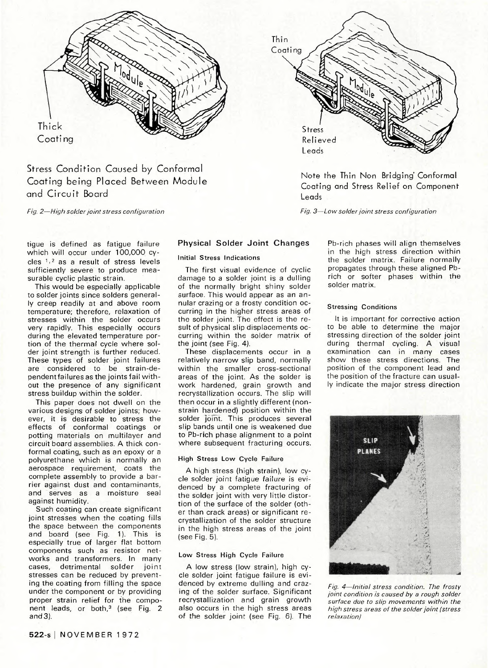

### Stress Condition Caused by Conformal Coating being Placed Between Module and Circuit Board

Fig. 2—High solder joint stress configuration

tigue is defined as fatigue failure which will occur under 100,000 cycles  $1, 2$  as a result of stress levels sufficiently severe to produce measurable cyclic plastic strain.

This would be especially applicable to solder joints since solders generally creep readily at and above room temperature; therefore, relaxation of stresses within the solder occurs very rapidly. This especially occurs during the elevated temperature portion of the thermal cycle where solder joint strength is further reduced. These types of solder joint failures are considered to be strain-dependent failures as the joints fail without the presence of any significant stress buildup within the solder.

This paper does not dwell on the various designs of solder joints; however, it is desirable to stress the effects of conformal coatings or potting materials on multilayer and circuit board assemblies. A thick conformal coating, such as an epoxy or a polyurethane which is normally an aerospace requirement, coats the complete assembly to provide a barrier against dust and contaminants, and serves as a moisture seal against humidity.

Such coating can create significant joint stresses when the coating fills the space between the components and board (see Fig. 1). This is especially true of larger flat bottom components such as resistor networks and transformers. In many cases, detrimental solder joint stresses can be reduced by preventing the coating from filling the space under the component or by providing proper strain relief for the component leads, or both,<sup>3</sup> (see Fig. 2 and3).

#### **Physical Solder Joint Changes**

Initial Stress Indications

The first visual evidence of cyclic damage to a solder joint is a dulling of the normally bright shiny solder surface. This would appear as an annular crazing or a frosty condition occurring in the higher stress areas of the solder joint. The effect is the result of physical slip displacements occurring within the solder matrix of the joint (see Fig. 4).

These displacements occur in a relatively narrow slip band, normally within the smaller cross-sectional areas of the joint. As the solder is work hardened, grain growth and recrystallization occurs. The slip will then occur in a slightly different (nonstrain hardened) position within the solder joint. This produces several slip bands until one is weakened due to Pb-rich phase alignment to a point where subsequent fracturing occurs.

#### High Stress Low Cycle Failure

A high stress (high strain), low cycle solder joint fatigue failure is evidenced by a complete fracturing of the solder joint with very little distortion of the surface of the solder (other than crack areas) or significant recrystallization of the solder structure in the high stress areas of the joint (see Fig. 5).

#### Low Stress High Cycle Failure

A low stress (low strain), high cycle solder joint fatigue failure is evidenced by extreme dulling and crazing of the solder surface. Significant recrystallization and grain growth also occurs in the high stress areas of the solder joint (see Fig. 6). The



Note the Thin Non Bridging' Conformal Coating and Stress Relief on Component Leads

Fig. 3—Low solder joint stress configuration

Pb-rich phases will align themselves in the high stress direction within the solder matrix. Failure normally propagates through these aligned Pbrich or softer phases within the solder matrix.

#### Stressing Conditions

It is important for corrective action to be able to determine the major stressing direction of the solder joint during thermal cycling. A visual examination can in many cases show these stress directions. The position of the component lead and the position of the fracture can usually indicate the major stress direction



Fig. 4—Initial stress condition. The frosty joint condition is caused by a rough solder surface due to slip movements within the high stress areas of the solder joint (stress relaxation)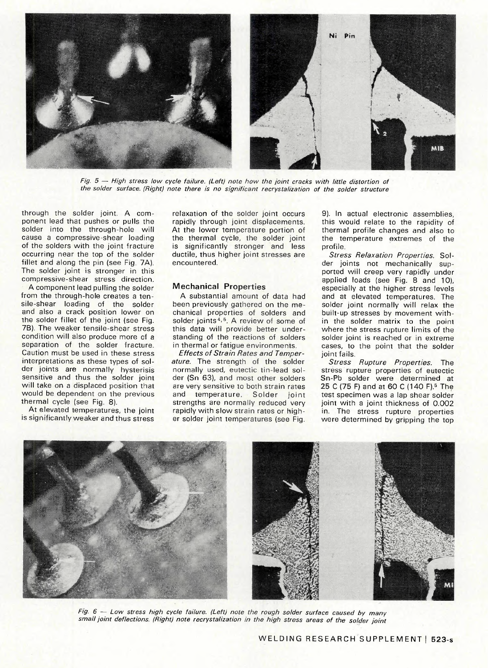

Fig. 5 — High stress low cycle failure. (Left) note how the joint cracks with little distortion of the solder surface. (Right) note there is no significant recrystalization of the solder structure

through the solder joint. A component lead that pushes or pulls the solder into the through-hole will cause a compressive-shear loading of the solders with the joint fracture occurring near the top of the solder fillet and along the pin (see Fig. 7A). The solder joint is stronger in this compressive-shear stress direction.

A component lead pulling the solder from the through-hole creates a tensile-shear loading of the solder and also a crack position lower on the solder fillet of the joint (see Fig. 7B). The weaker tensile-shear stress condition will also produce more of a separation of the solder fracture. Caution must be used in these stress interpretations as these types of solder joints are normally hysterisis sensitive and thus the solder joint will take on a displaced position that would be dependent on the previous thermal cycle (see Fig. 8).

At elevated temperatures, the joint is significantly weaker and thus stress

relaxation of the solder joint occurs rapidly through joint displacements. At the lower temperature portion of the thermal cycle, the solder joint is significantly stronger and less ductile, thus higher joint stresses are encountered.

#### **Mechanical Properties**

A substantial amount of data had been previously gathered on the mechanical properties of solders and solder joints<sup>4,5</sup>. A review of some of this data will provide better understanding of the reactions of solders in thermal or fatigue environments.

Effects of Strain Rates and Temperature. The strength of the solder normally used, eutectic tin-lead solder (Sn 63), and most other solders are very sensitive to both strain rates and temperature. Solder joint strengths are normally reduced very rapidly with slow strain rates or higher solder joint temperatures (see Fig.

9). In actual electronic assemblies, this would relate to the rapidity of thermal profile changes and also to the temperature extremes of the profile.

Stress Relaxation Properties. Solder joints not mechanically supported will creep very rapidly under applied loads (see Fig. 8 and 10), especially at the higher stress levels and at elevated temperatures. The solder joint normally will relax the built-up stresses by movement within the solder matrix to the point where the stress rupture limits of the solder joint is reached or in extreme cases, to the point that the solder joint fails.

Stress Rupture Properties. The stress rupture properties of eutectic Sn-Pb solder were determined at 25 C (75 F) and at 60 C (140 F).<sup>5</sup> The test specimen was a lap shear solder joint with a joint thickness of 0.002 in. The stress rupture properties were determined by gripping the top



Fig. 6 — Low stress high cycle failure. (Left) note the rough solder surface caused by many small joint deflections. (Right) note recrystalization in the high stress areas of the solder joint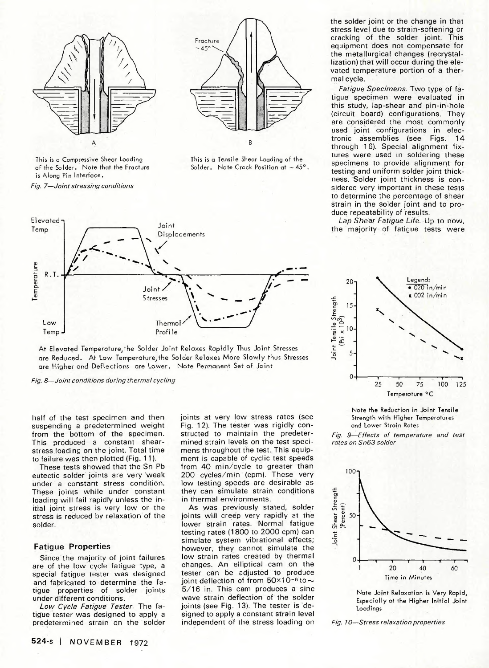



This is a Compressive Shear Loading of the Solder. Note that the Fracture is Along Pin Interface.

Fig. 7—Joint stressing conditions

This is a Tensile Shear Loading of the Solder. Note Crack Position at  $\sim$  45°.



At Elevated Temperature, the Solder Joint Relaxes Rapidly Thus Joint Stresses are Reduced. At Low Temperature,the Solder Relaxes More Slowly thus Stresses are Higher and Deflections are Lower. Note Permanent Set of Joint

Fig. 8—Joint conditions during thermal cycling

half of the test specimen and then suspending a predetermined weight from the bottom of the specimen. This produced a constant shearstress loading on the joint. Total time to failure was then plotted (Fig. 11).

These tests showed that the Sn Pb eutectic solder joints are very weak under a constant stress condition. These joints while under constant loading will fail rapidly unless the initial joint stress is very low or the stress is reduced by relaxation of the solder.

#### Fatigue Properties

Since the majority of joint failures are of the low cycle fatigue type, a special fatigue tester was designed and fabricated to determine the fatigue properties of solder joints under different conditions.

Low Cycle Fatigue Tester. The fatigue tester was designed to apply a predetermined strain on the solder joints at very low stress rates (see Fig. 12). The tester was rigidly constructed to maintain the predetermined strain levels on the test specimens throughout the test. This equipment is capable of cyclic test speeds from 40 min/cycle to greater than 200 cycles/min (cpm). These very low testing speeds are desirable as they can simulate strain conditions in thermal environments.

As was previously stated, solder joints will creep very rapidly at the lower strain rates. Normal fatigue testing rates (1800 to 2000 cpm) can simulate system vibrational effects; however, they cannot simulate the low strain rates created by thermal changes. An elliptical cam on the tester can be adjusted to produce ioint deflection of from  $50 \times 10^{-6}$  to  $\sim$ 5/16 in. This cam produces a sine wave strain deflection of the solder joints (see Fig. 13). The tester is designed to apply a constant strain level independent of the stress loading on

the solder joint or the change in that stress level due to strain-softening or cracking of the solder joint. This equipment does not compensate for the metallurgical changes (recrystallization) that will occur during the elevated temperature portion of a thermal cycle.

Fatigue Specimens. Two type of fatigue specimen were evaluated in this study, lap-shear and pin-in-hole (circuit board) configurations. They are considered the most commonly used joint configurations in electronic assemblies (see Figs. 14 through 16). Special alignment fixtures were used in soldering these specimens to provide alignment for testing and uniform solder joint thickness. Solder joint thickness is considered very important in these tests to determine the percentage of shear strain in the solder joint and to produce repeatability of results.

Lap Shear Fatigue Life. Up to now, the majority of fatigue tests were



Note the Reduction in Joint Tensile Strength with Higher Temperatures and Lower Strain Rates

Fig. 9—Effects of temperature and test rates on Sn63 solder



Note Joint Relaxation is Very Rapid, Especially at the Higher Initial Joint Loadings

Fig. 10—Stress relaxation properties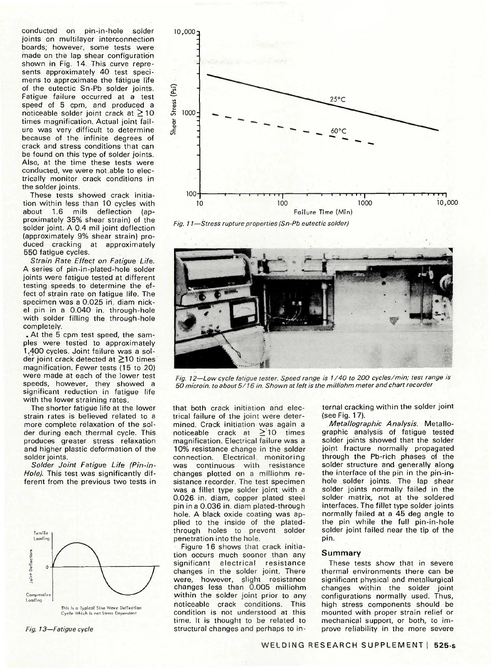conducted on pin-in-hole solder joints on multilayer interconnection boards; however, some tests were made on the lap shear configuration shown in Fig. 14. This curve represents approximately 40 test specimens to approximate the fatigue life of the eutectic Sn-Pb solder joints. Fatigue failure occurred at a test speed of 5 cpm, and produced a noticeable solder joint crack at  $\geq$  10 times magnification. Actual joint failure was very difficult to determine because of the infinite degrees of crack and stress conditions that can be found on this type of solder joints. Also, at the time these tests were conducted, we were not able to electrically monitor crack conditions in the solder joints.

These tests showed crack initiation within less than 10 cycles with about 1.6 mils deflection (approximately 35% shear strain) of the solder joint. A 0.4 mil joint deflection (approximately 9% shear strain) produced cracking at approximately 550 fatigue cycles.

Strain Rate Effect on Fatigue Life. A series of pin-in-plated-hole solder joints were fatigue tested at different testing speeds to determine the effect of strain rate on fatigue life. The specimen was a 0.025 in. diam nickel pin in a 0.040 in. through-hole with solder filling the through-hole completely.

. At the 5 cpm test speed, the samples were tested to approximately 1,400 cycles. Joint failure was a solder joint crack detected at  $\geq$ 10 times magnification. Fewer tests (15 to 20) were made at each of the lower test speeds, however, they showed a significant reduction in fatigue life with the lower straining rates.

The shorter fatigue life at the lower strain rates is believed related to a more complete relaxation of the solder during each thermal cycle. This produces greater stress relaxation and higher plastic deformation of the solder joints.

Solder Joint Fatigue Life (Pin-in-Hole). This test was significantly different from the previous two tests in



Fig. 13—Fatigue cycle



Fig. 11—Stress rupture properties (Sn-Pb eutectic solder)



Fig. 12—Low cycle fatigue tester. Speed range is 1/40 to 200 cycles/min; test range is 50 microin. to about 5/16 in. Shown at left is the mitliohm meter and chart recorder

that both crack initiation and electrical failure of the joint were determined. Crack initiation was again a noticeable crack at  $\geq$  10 times magnification. Electrical failure was a 10% resistance change in the solder connection. Electrical monitoring was continuous with resistance changes plotted on a milliohm resistance recorder. The test specimen was a fillet type solder joint with a 0.026 in. diam, copper plated steel pin in a 0.036 in. diam plated-through hole. A black oxide coating was applied to the inside of the platedthrough holes to prevent solder penetration into the hole.

Figure 16 shows that crack initiation occurs much sooner than any significant electrical resistance changes in the solder joint. There were, however, slight resistance changes less than 0.005 milliohm within the solder joint prior to any noticeable crack conditions. This condition is not understood at this time. It is thought to be related to structural changes and perhaps to internal cracking within the solder joint (see Fig. 17).

Metallographic Analysis. Metallographic analysis of fatigue tested solder joints showed that the solder joint fracture normally propagated through the Pb-rich phases of the solder structure and generally along the interface of the pin in the pin-inhole solder joints. The lap shear solder joints normally failed in the solder matrix, not at the soldered interfaces. The fillet type solder joints normally failed at a 45 deg angle to the pin while the full pin-in-hole solder joint failed near the tip of the pin.

#### **Summar y**

These tests show that in severe thermal environments there can be significant physical and metallurgical changes within the solder joint configurations normally used. Thus, high stress components should be mounted with proper strain relief or mechanical support, or both, to improve reliability in the more severe